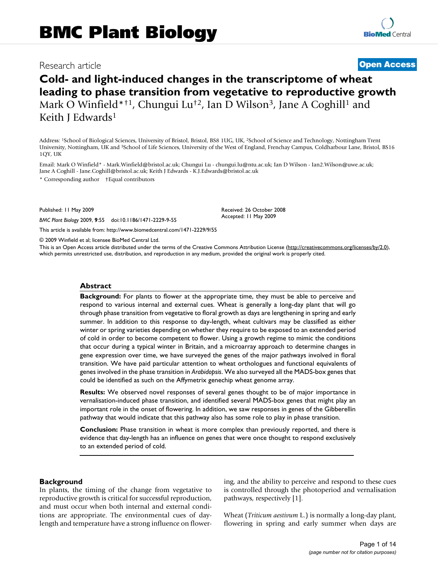# Research article **[Open Access](http://www.biomedcentral.com/info/about/charter/)**

# **Cold- and light-induced changes in the transcriptome of wheat leading to phase transition from vegetative to reproductive growth** Mark O Winfield\*<sup>†1</sup>, Chungui Lu<sup>†2</sup>, Ian D Wilson<sup>3</sup>, Jane A Coghill<sup>1</sup> and Keith J Edwards<sup>1</sup>

Address: 1School of Biological Sciences, University of Bristol, Bristol, BS8 1UG, UK, 2School of Science and Technology, Nottingham Trent University, Nottingham, UK and 3School of Life Sciences, University of the West of England, Frenchay Campus, Coldharbour Lane, Bristol, BS16 1QY, UK

Email: Mark O Winfield\* - Mark.Winfield@bristol.ac.uk; Chungui Lu - chungui.lu@ntu.ac.uk; Ian D Wilson - Ian2.Wilson@uwe.ac.uk; Jane A Coghill - Jane.Coghill@bristol.ac.uk; Keith J Edwards - K.J.Edwards@bristol.ac.uk

\* Corresponding author †Equal contributors

Published: 11 May 2009

*BMC Plant Biology* 2009, **9**:55 doi:10.1186/1471-2229-9-55

[This article is available from: http://www.biomedcentral.com/1471-2229/9/55](http://www.biomedcentral.com/1471-2229/9/55)

© 2009 Winfield et al; licensee BioMed Central Ltd.

This is an Open Access article distributed under the terms of the Creative Commons Attribution License [\(http://creativecommons.org/licenses/by/2.0\)](http://creativecommons.org/licenses/by/2.0), which permits unrestricted use, distribution, and reproduction in any medium, provided the original work is properly cited.

Received: 26 October 2008 Accepted: 11 May 2009

#### **Abstract**

**Background:** For plants to flower at the appropriate time, they must be able to perceive and respond to various internal and external cues. Wheat is generally a long-day plant that will go through phase transition from vegetative to floral growth as days are lengthening in spring and early summer. In addition to this response to day-length, wheat cultivars may be classified as either winter or spring varieties depending on whether they require to be exposed to an extended period of cold in order to become competent to flower. Using a growth regime to mimic the conditions that occur during a typical winter in Britain, and a microarray approach to determine changes in gene expression over time, we have surveyed the genes of the major pathways involved in floral transition. We have paid particular attention to wheat orthologues and functional equivalents of genes involved in the phase transition in *Arabidopsis*. We also surveyed all the MADS-box genes that could be identified as such on the Affymetrix genechip wheat genome array.

**Results:** We observed novel responses of several genes thought to be of major importance in vernalisation-induced phase transition, and identified several MADS-box genes that might play an important role in the onset of flowering. In addition, we saw responses in genes of the Gibberellin pathway that would indicate that this pathway also has some role to play in phase transition.

**Conclusion:** Phase transition in wheat is more complex than previously reported, and there is evidence that day-length has an influence on genes that were once thought to respond exclusively to an extended period of cold.

#### **Background**

In plants, the timing of the change from vegetative to reproductive growth is critical for successful reproduction, and must occur when both internal and external conditions are appropriate. The environmental cues of daylength and temperature have a strong influence on flowering, and the ability to perceive and respond to these cues is controlled through the photoperiod and vernalisation pathways, respectively [1].

Wheat (*Triticum aestivum* L.) is normally a long-day plant, flowering in spring and early summer when days are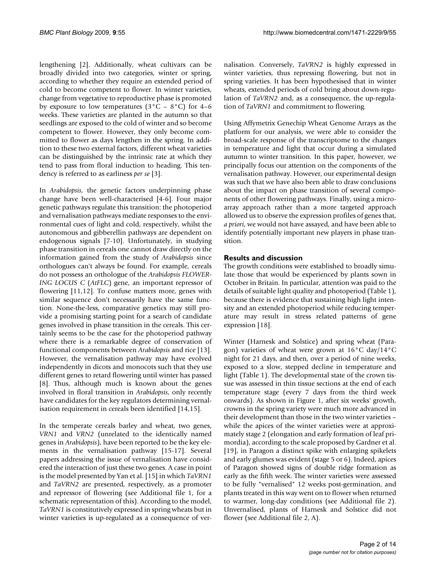lengthening [2]. Additionally, wheat cultivars can be broadly divided into two categories, winter or spring, according to whether they require an extended period of cold to become competent to flower. In winter varieties, change from vegetative to reproductive phase is promoted by exposure to low temperatures  $(3^{\circ}C - 8^{\circ}C)$  for 4–6 weeks. These varieties are planted in the autumn so that seedlings are exposed to the cold of winter and so become competent to flower. However, they only become committed to flower as days lengthen in the spring. In addition to these two external factors, different wheat varieties can be distinguished by the intrinsic rate at which they tend to pass from floral induction to heading. This tendency is referred to as earliness *per se* [3].

In *Arabidopsis*, the genetic factors underpinning phase change have been well-characterised [4-6]. Four major genetic pathways regulate this transition: the photoperiod and vernalisation pathways mediate responses to the environmental cues of light and cold, respectively, whilst the autonomous and gibberellin pathways are dependent on endogenous signals [7-10]. Unfortunately, in studying phase transition in cereals one cannot draw directly on the information gained from the study of *Arabidopsis* since orthologues can't always be found. For example, cereals do not possess an orthologue of the *Arabidopsis FLOWER-ING LOCUS C* (*AtFLC*) gene, an important repressor of flowering [11,12]. To confuse matters more, genes with similar sequence don't necessarily have the same function. None-the-less, comparative genetics may still provide a promising starting point for a search of candidate genes involved in phase transition in the cereals. This certainly seems to be the case for the photoperiod pathway where there is a remarkable degree of conservation of functional components between *Arabidopsis* and rice [13]. However, the vernalisation pathway may have evolved independently in dicots and monocots such that they use different genes to retard flowering until winter has passed [8]. Thus, although much is known about the genes involved in floral transition in *Arabidopsis*, only recently have candidates for the key regulators determining vernalisation requirement in cereals been identified [14,15].

In the temperate cereals barley and wheat, two genes, *VRN1* and *VRN2* (unrelated to the identically named genes in *Arabidopsis*), have been reported to be the key elements in the vernalisation pathway [15-17]. Several papers addressing the issue of vernalisation have considered the interaction of just these two genes. A case in point is the model presented by Yan et al. [15] in which *TaVRN1* and *TaVRN2* are presented, respectively, as a promoter and repressor of flowering (see Additional file 1, for a schematic representation of this). According to the model, *TaVRN1* is constitutively expressed in spring wheats but in winter varieties is up-regulated as a consequence of vernalisation. Conversely, *TaVRN2* is highly expressed in winter varieties, thus repressing flowering, but not in spring varieties. It has been hypothesised that in winter wheats, extended periods of cold bring about down-regulation of *TaVRN2* and, as a consequence, the up-regulation of *TaVRN1* and commitment to flowering.

Using Affymetrix Genechip Wheat Genome Arrays as the platform for our analysis, we were able to consider the broad-scale response of the transcriptome to the changes in temperature and light that occur during a simulated autumn to winter transition. In this paper, however, we principally focus our attention on the components of the vernalisation pathway. However, our experimental design was such that we have also been able to draw conclusions about the impact on phase transition of several components of other flowering pathways. Finally, using a microarray approach rather than a more targeted approach allowed us to observe the expression profiles of genes that, *a priori*, we would not have assayed, and have been able to identify potentially important new players in phase transition.

### **Results and discussion**

The growth conditions were established to broadly simulate those that would be experienced by plants sown in October in Britain. In particular, attention was paid to the details of suitable light quality and photoperiod (Table 1), because there is evidence that sustaining high light intensity and an extended photoperiod while reducing temperature may result in stress related patterns of gene expression [18].

Winter (Harnesk and Solstice) and spring wheat (Paragon) varieties of wheat were grown at 16°C day/14°C night for 21 days, and then, over a period of nine weeks, exposed to a slow, stepped decline in temperature and light (Table 1). The developmental state of the crown tissue was assessed in thin tissue sections at the end of each temperature stage (every 7 days from the third week onwards). As shown in Figure 1, after six weeks' growth, crowns in the spring variety were much more advanced in their development than those in the two winter varieties – while the apices of the winter varieties were at approximately stage 2 (elongation and early formation of leaf primordia), according to the scale proposed by Gardner et al. [19], in Paragon a distinct spike with enlarging spikelets and early glumes was evident (stage 5 or 6). Indeed, apices of Paragon showed signs of double ridge formation as early as the fifth week. The winter varieties were assessed to be fully "vernalised" 12 weeks post-germination, and plants treated in this way went on to flower when returned to warmer, long-day conditions (see Additional file 2). Unvernalised, plants of Harnesk and Solstice did not flower (see Additional file 2, A).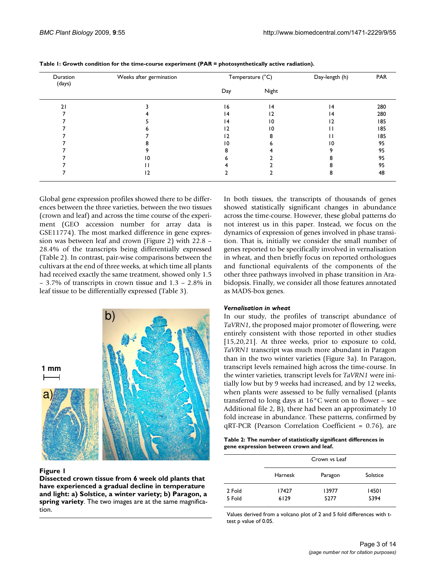| Duration<br>(days) | Weeks after germination | Temperature (°C) |                | Day-length (h) | <b>PAR</b> |
|--------------------|-------------------------|------------------|----------------|----------------|------------|
|                    |                         | Day              | Night          |                |            |
| 21                 |                         | 16               | 4              | 4              | 280        |
|                    |                         | 14               | $\overline{2}$ | 14             | 280        |
|                    |                         | 4                | 10             | 2              | 185        |
|                    |                         | 12               | 10             |                | 185        |
|                    |                         | 12               |                |                | 185        |
|                    |                         | 10               |                | 10             | 95         |
|                    |                         |                  |                |                | 95         |
|                    | 10                      |                  |                |                | 95         |
|                    |                         |                  |                |                | 95         |
|                    | 12                      |                  |                | R              | 48         |

| Table I: Growth condition for the time-course experiment (PAR = photosynthetically active radiation). |  |  |  |
|-------------------------------------------------------------------------------------------------------|--|--|--|
|                                                                                                       |  |  |  |

Global gene expression profiles showed there to be differences between the three varieties, between the two tissues (crown and leaf) and across the time course of the experiment (GEO accession number for array data is GSE11774). The most marked difference in gene expression was between leaf and crown (Figure 2) with 22.8 – 28.4% of the transcripts being differentially expressed (Table 2). In contrast, pair-wise comparisons between the cultivars at the end of three weeks, at which time all plants had received exactly the same treatment, showed only 1.5 – 3.7% of transcripts in crown tissue and 1.3 – 2.8% in leaf tissue to be differentially expressed (Table 3).



#### Figure I

**Dissected crown tissue from 6 week old plants that have experienced a gradual decline in temperature and light: a) Solstice, a winter variety; b) Paragon, a spring variety**. The two images are at the same magnification.

In both tissues, the transcripts of thousands of genes showed statistically significant changes in abundance across the time-course. However, these global patterns do not interest us in this paper. Instead, we focus on the dynamics of expression of genes involved in phase transition. That is, initially we consider the small number of genes reported to be specifically involved in vernalisation in wheat, and then briefly focus on reported orthologues and functional equivalents of the components of the other three pathways involved in phase transition in Arabidopsis. Finally, we consider all those features annotated as MADS-box genes.

#### *Vernalisation in wheat*

In our study, the profiles of transcript abundance of *TaVRN1*, the proposed major promoter of flowering, were entirely consistent with those reported in other studies [15,20,21]. At three weeks, prior to exposure to cold, *TaVRN1* transcript was much more abundant in Paragon than in the two winter varieties (Figure 3a). In Paragon, transcript levels remained high across the time-course. In the winter varieties, transcript levels for *TaVRN1* were initially low but by 9 weeks had increased, and by 12 weeks, when plants were assessed to be fully vernalised (plants transferred to long days at 16°C went on to flower – see Additional file 2, B), there had been an approximately 10 fold increase in abundance. These patterns, confirmed by qRT-PCR (Pearson Correlation Coefficient = 0.76), are

|  | Table 2: The number of statistically significant differences in |  |
|--|-----------------------------------------------------------------|--|
|  | gene expression between crown and leaf.                         |  |

|        |         | Crown vs Leaf |          |  |  |
|--------|---------|---------------|----------|--|--|
|        | Harnesk | Paragon       | Solstice |  |  |
| 2 Fold | 17427   | 13977         | 14501    |  |  |
| 5 Fold | 6129    | 5277          | 5394     |  |  |

Values derived from a volcano plot of 2 and 5 fold differences with ttest p value of 0.05.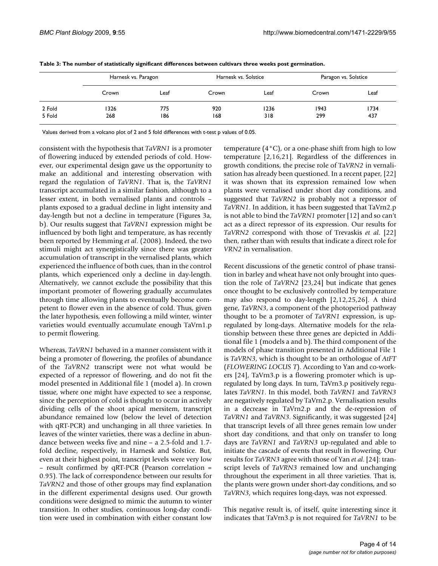|        | Harnesk vs. Paragon |      | Harnesk vs. Solstice |      |       | Paragon vs. Solstice |  |
|--------|---------------------|------|----------------------|------|-------|----------------------|--|
|        | Crown               | Leaf | Crown                | Leaf | Crown | Leaf                 |  |
| 2 Fold | 1326                | 775  | 920                  | 1236 | 1943  | 1734                 |  |
| 5 Fold | 268                 | 186  | 168                  | 318  | 299   | 437                  |  |

**Table 3: The number of statistically significant differences between cultivars three weeks post germination.**

Values derived from a volcano plot of 2 and 5 fold differences with t-test p values of 0.05.

consistent with the hypothesis that *TaVRN1* is a promoter of flowering induced by extended periods of cold. However, our experimental design gave us the opportunity to make an additional and interesting observation with regard the regulation of *TaVRN1*. That is, the *TaVRN1* transcript accumulated in a similar fashion, although to a lesser extent, in both vernalised plants and controls – plants exposed to a gradual decline in light intensity and day-length but not a decline in temperature (Figures 3a, b). Our results suggest that *TaVRN1* expression might be influenced by both light and temperature, as has recently been reported by Hemming *et al*. (2008). Indeed, the two stimuli might act synergistically since there was greater accumulation of transcript in the vernalised plants, which experienced the influence of both cues, than in the control plants, which experienced only a decline in day-length. Alternatively, we cannot exclude the possibility that this important promoter of flowering gradually accumulates through time allowing plants to eventually become competent to flower even in the absence of cold. Thus, given the later hypothesis, even following a mild winter, winter varieties would eventually accumulate enough TaVrn1.p to permit flowering.

Whereas, *TaVRN1* behaved in a manner consistent with it being a promoter of flowering, the profiles of abundance of the *TaVRN2* transcript were not what would be expected of a repressor of flowering, and do not fit the model presented in Additional file 1 (model a). In crown tissue, where one might have expected to see a response, since the perception of cold is thought to occur in actively dividing cells of the shoot apical mersitem, transcript abundance remained low (below the level of detection with qRT-PCR) and unchanging in all three varieties. In leaves of the winter varieties, there was a decline in abundance between weeks five and nine – a 2.5-fold and 1.7 fold decline, respectively, in Harnesk and Solstice. But, even at their highest point, transcript levels were very low – result confirmed by qRT-PCR (Pearson correlation = 0.95). The lack of correspondence between our results for *TaVRN2* and those of other groups may find explanation in the different experimental designs used. Our growth conditions were designed to mimic the autumn to winter transition. In other studies, continuous long-day condition were used in combination with either constant low

temperature  $(4^{\circ}C)$ , or a one-phase shift from high to low temperature [2,16,21]. Regardless of the differences in growth conditions, the precise role of Ta*VRN2* in vernalisation has already been questioned. In a recent paper, [22] it was shown that its expression remained low when plants were vernalised under short day conditions, and suggested that *TaVRN2* is probably not a repressor of *TaVRN1*. In addition, it has been suggested that TaVrn2.p is not able to bind the *TaVRN1* promoter [12] and so can't act as a direct repressor of its expression. Our results for *TaVRN2* correspond with those of Trevaskis *et al*. [22] then, rather than with results that indicate a direct role for *VRN2* in vernalisation.

Recent discussions of the genetic control of phase transition in barley and wheat have not only brought into question the role of *TaVRN2* [23,24] but indicate that genes once thought to be exclusively controlled by temperature may also respond to day-length [2,12,25,26]. A third gene, *TaVRN3*, a component of the photoperiod pathway thought to be a promoter of *TaVRN1* expression, is upregulated by long-days. Alternative models for the relationship between these three genes are depicted in Additional file 1 (models a and b). The third component of the models of phase transition presented in Additional File 1 is *TaVRN3*, which is thought to be an orthologue of *AtFT* (*FLOWERING LOCUS T*). According to Yan and co-workers [24], TaVrn3.p is a flowering promoter which is upregulated by long days. In turn, TaVrn3.p positively regulates *TaVRN1*. In this model, both *TaVRN1* and *TaVRN3* are negatively regulated by TaVrn2.p. Vernalisation results in a decrease in TaVrn2.p and the de-repression of *TaVRN1* and *TaVRN3*. Significantly, it was suggested [24] that transcript levels of all three genes remain low under short day conditions, and that only on transfer to long days are *TaVRN1* and *TaVRN3* up-regulated and able to initiate the cascade of events that result in flowering. Our results for *TaVRN3* agree with those of Yan *et al*. [24]: transcript levels of *TaVRN3* remained low and unchanging throughout the experiment in all three varieties. That is, the plants were grown under short-day conditions, and so *TaVRN3*, which requires long-days, was not expressed.

This negative result is, of itself, quite interesting since it indicates that TaVrn3.p is not required for *TaVRN1* to be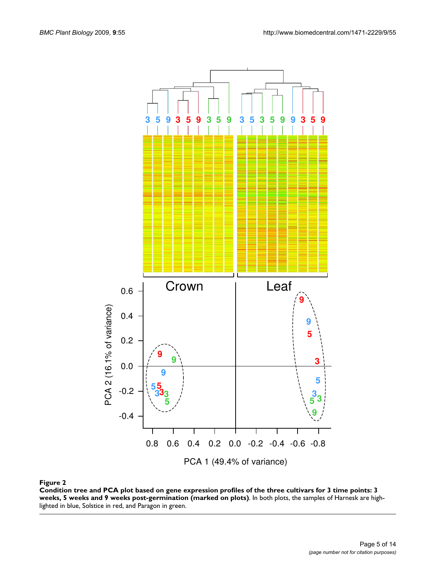

**Condition tree and PCA plot based on gene expression profiles of the three cultivars for 3 time points: 3 weeks, 5 weeks and 9 weeks post-germination (marked on plots)**. In both plots, the samples of Harnesk are highlighted in blue, Solstice in red, and Paragon in green.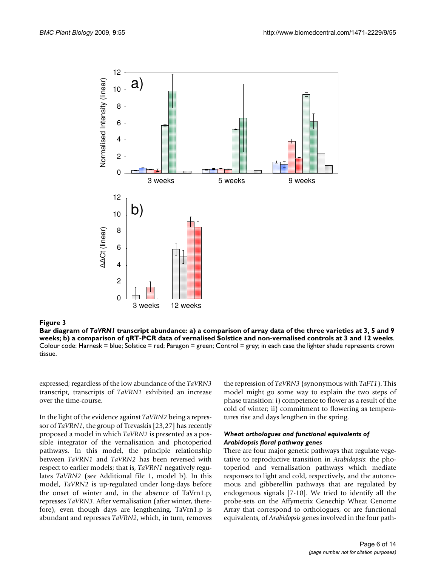

**Bar diagram of** *TaVRN1* **transcript abundance: a) a comparison of array data of the three varieties at 3, 5 and 9 weeks; b) a comparison of qRT-PCR data of vernalised Solstice and non-vernalised controls at 3 and 12 weeks**. Colour code: Harnesk = blue; Solstice = red; Paragon = green; Control = grey; in each case the lighter shade represents crown tissue.

expressed; regardless of the low abundance of the *TaVRN3* transcript, transcripts of *TaVRN1* exhibited an increase over the time-course.

In the light of the evidence against *TaVRN2* being a repressor of *TaVRN1*, the group of Trevaskis [23,27] has recently proposed a model in which *TaVRN2* is presented as a possible integrator of the vernalisation and photoperiod pathways. In this model, the principle relationship between *TaVRN1* and *TaVRN2* has been reversed with respect to earlier models; that is, *TaVRN1* negatively regulates *TaVRN2* (see Additional file 1, model b). In this model, *TaVRN2* is up-regulated under long-days before the onset of winter and, in the absence of TaVrn1.p, represses *TaVRN3*. After vernalisation (after winter, therefore), even though days are lengthening, TaVrn1.p is abundant and represses *TaVRN2*, which, in turn, removes the repression of *TaVRN3* (synonymous with *TaFT1*). This model might go some way to explain the two steps of phase transition: i) competence to flower as a result of the cold of winter; ii) commitment to flowering as temperatures rise and days lengthen in the spring.

#### *Wheat orthologues and functional equivalents of Arabidopsis floral pathway genes*

There are four major genetic pathways that regulate vegetative to reproductive transition in *Arabidopsis*: the photoperiod and vernalisation pathways which mediate responses to light and cold, respectively, and the autonomous and gibberellin pathways that are regulated by endogenous signals [7-10]. We tried to identify all the probe-sets on the Affymetrix Genechip Wheat Genome Array that correspond to orthologues, or are functional equivalents, of *Arabidopsis* genes involved in the four path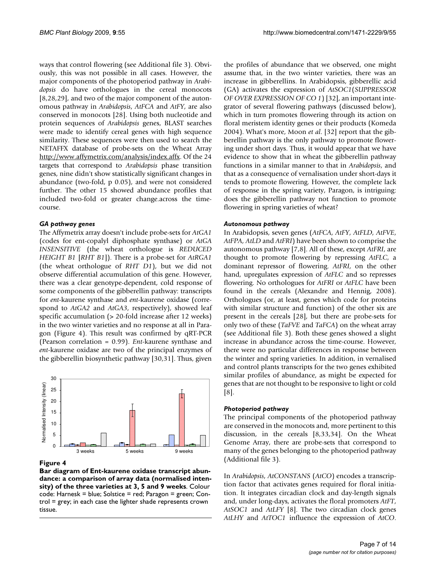ways that control flowering (see Additional file 3). Obviously, this was not possible in all cases. However, the major components of the photoperiod pathway in *Arabidopsis* do have orthologues in the cereal monocots [8,28,[29\]](#page-13-0), and two of the major component of the autonomous pathway in *Arabidopsis*, *AtFCA* and *AtFY*, are also conserved in monocots [28]. Using both nucleotide and protein sequences of *Arabidopsis* genes, BLAST searches were made to identify cereal genes with high sequence similarity. These sequences were then used to search the NETAFFX database of probe-sets on the Wheat Array <http://www.affymetrix.com/analysis/index.affx>. Of the 24 targets that correspond to *Arabidopsis* phase transition genes, nine didn't show statistically significant changes in abundance (two-fold, p 0.05), and were not considered further. The other 15 showed abundance profiles that included two-fold or greater change.across the timecourse.

#### *GA pathway genes*

The Affymetrix array doesn't include probe-sets for *AtGA1* (codes for ent-copalyl diphosphate synthase) or *AtGA INSENSITIVE* (the wheat orthologue is *REDUCED HEIGHT B1* [*RHT B1*]). There is a probe-set for *AtRGA1* (the wheat orthologue of *RHT D1*), but we did not observe differential accumulation of this gene. However, there was a clear genotype-dependent, cold response of some components of the gibberellin pathway: transcripts for *ent*-kaurene synthase and *ent*-kaurene oxidase (correspond to *AtGA2* and *AtGA3*, respectively), showed leaf specific accumulation (> 20-fold increase after 12 weeks) in the two winter varieties and no response at all in Paragon (Figure 4). This result was confirmed by qRT-PCR (Pearson correlation = 0.99). *Ent*-kaurene synthase and *ent*-kaurene oxidase are two of the principal enzymes of the gibberellin biosynthetic pathway [30,31]. Thus, given



#### **Figure 4**

**Bar diagram of Ent-kaurene oxidase transcript abundance: a comparison of array data (normalised intensity) of the three varieties at 3, 5 and 9 weeks**. Colour code: Harnesk = blue; Solstice = red; Paragon = green; Control = grey; in each case the lighter shade represents crown tissue.

the profiles of abundance that we observed, one might assume that, in the two winter varieties, there was an increase in gibberellins. In Arabidopsis, gibberellic acid (GA) activates the expression of *AtSOC1*(*SUPPRESSOR OF OVER EXPRESSION OF CO 1*) [32], an important integrator of several flowering pathways (discussed below), which in turn promotes flowering through its action on floral meristem identity genes or their products (Komeda 2004). What's more, Moon *et al*. [32] report that the gibberellin pathway is the only pathway to promote flowering under short days. Thus, it would appear that we have evidence to show that in wheat the gibberellin pathway functions in a similar manner to that in *Arabidopsis*, and that as a consequence of vernalisation under short-days it tends to promote flowering. However, the complete lack of response in the spring variety, Paragon, is intriguing: does the gibberellin pathway not function to promote flowering in spring varieties of wheat?

#### *Autonomous pathway*

In Arabidopsis, seven genes (*AtFCA*, *AtFY*, *AtFLD*, *AtFVE*, *AtFPA*, *AtLD* and *AtFRI*) have been shown to comprise the autonomous pathway [7,8]. All of these, except *AtFRI*, are thought to promote flowering by repressing *AtFLC*, a dominant repressor of flowering. *AtFRI*, on the other hand, upregulates expression of *AtFLC* and so represses flowering. No orthologues for *AtFRI* or *AtFLC* have been found in the cereals (Alexandre and Hennig, 2008). Orthologues (or, at least, genes which code for proteins with similar structure and function) of the other six are present in the cereals [28], but there are probe-sets for only two of these (*TaFVE* and *TaFCA*) on the wheat array (see Additional file 3). Both these genes showed a slight increase in abundance across the time-course. However, there were no particular differences in response between the winter and spring varieties. In addition, in vernalised and control plants transcripts for the two genes exhibited similar profiles of abundance, as might be expected for genes that are not thought to be responsive to light or cold [8].

#### *Photoperiod pathway*

The principal components of the photoperiod pathway are conserved in the monocots and, more pertinent to this discussion, in the cereals [8,33,34]. On the Wheat Genome Array, there are probe-sets that correspond to many of the genes belonging to the photoperiod pathway (Additional file 3).

In *Arabidopsis*, *AtCONSTANS* (*AtCO*) encodes a transcription factor that activates genes required for floral initiation. It integrates circadian clock and day-length signals and, under long-days, activates the floral promoters *AtFT*, *AtSOC1* and *AtLFY* [8]. The two circadian clock genes *AtLHY* and *AtTOC1* influence the expression of *AtCO*.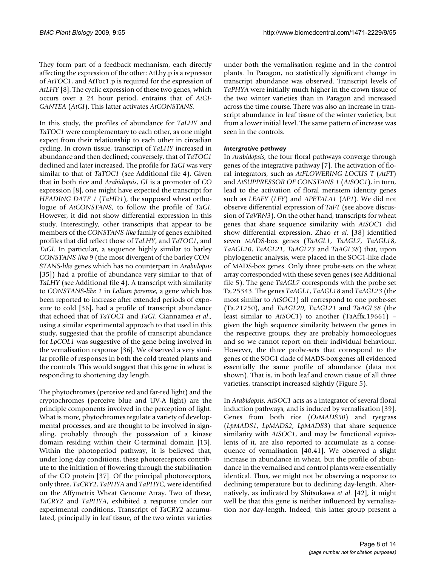They form part of a feedback mechanism, each directly affecting the expression of the other: AtLhy.p is a repressor of *AtTOC1*, and AtToc1.p is required for the expression of *AtLHY* [8]. The cyclic expression of these two genes, which occurs over a 24 hour period, entrains that of *AtGI-GANTEA* (*AtGI*). This latter activates *AtCONSTANS*.

In this study, the profiles of abundance for *TaLHY* and *TaTOC1* were complementary to each other, as one might expect from their relationship to each other in circadian cycling. In crown tissue, transcript of *TaLHY* increased in abundance and then declined; conversely, that of *TaTOC1* declined and later increased. The profile for *TaGI* was very similar to that of *TaTOC1* (see Additional file 4). Given that in both rice and *Arabidopsis*, *GI* is a promoter of *CO* expression [8], one might have expected the transcript for *HEADING DATE 1* (*TaHD1*), the supposed wheat orthologue of *AtCONSTANS*, to follow the profile of *TaGI*. However, it did not show differential expression in this study. Interestingly, other transcripts that appear to be members of the *CONSTANS-like* family of genes exhibited profiles that did reflect those of *TaLHY*, and *TaTOC1*, and *TaGI*. In particular, a sequence highly similar to barley *CONSTANS-like* 9 (the most divergent of the barley *CON-STANS-like* genes which has no counterpart in *Arabidopsis* [35]) had a profile of abundance very similar to that of *TaLHY* (see Additional file 4). A transcript with similarity to *CONSTANS-like 1* in *Lolium perenne*, a gene which has been reported to increase after extended periods of exposure to cold [[36\]](#page-13-1), had a profile of transcript abundance that echoed that of *TaTOC1* and *TaGI*. Ciannamea *et al*., using a similar experimental approach to that used in this study, suggested that the profile of transcript abundance for *LpCOL1* was suggestive of the gene being involved in the vernalisation response [\[36](#page-13-1)]. We observed a very similar profile of responses in both the cold treated plants and the controls. This would suggest that this gene in wheat is responding to shortening day length.

The phytochromes (perceive red and far-red light) and the cryptochromes (perceive blue and UV-A light) are the principle components involved in the perception of light. What is more, phytochromes regulate a variety of developmental processes, and are thought to be involved in signaling, probably through the possession of a kinase domain residing within their C-terminal domain [13]. Within the photoperiod pathway, it is believed that, under long-day conditions, these photoreceptors contribute to the initiation of flowering through the stabilisation of the CO protein [37]. Of the principal photoreceptors, only three, *TaCRY2*, *TaPHYA* and *TaPHYC*, were identified on the Affymetrix Wheat Genome Array. Two of these, *TaCRY2* and *TaPHYA*, exhibited a response under our experimental conditions. Transcript of *TaCRY2* accumulated, principally in leaf tissue, of the two winter varieties under both the vernalisation regime and in the control plants. In Paragon, no statistically significant change in transcript abundance was observed. Transcript levels of *TaPHYA* were initially much higher in the crown tissue of the two winter varieties than in Paragon and increased across the time course. There was also an increase in transcript abundance in leaf tissue of the winter varieties, but from a lower initial level. The same pattern of increase was seen in the controls.

#### *Intergrative pathway*

In *Arabidopsis*, the four floral pathways converge through genes of the integrative pathway [7]. The activation of floral integrators, such as *AtFLOWERING LOCUS T* (*AtFT*) and *AtSUPPRESSOR OF CONSTANS 1* (*AtSOC1*), in turn, lead to the activation of floral meristem identity genes such as *LEAFY* (*LFY*) and *APETALA1* (*AP1*). We did not observe differential expression of *TaFT* (see above discussion of *TaVRN3*). On the other hand, transcripts for wheat genes that share sequence similarity with *AtSOC1* did show differential expression. Zhao *et al*. [38] identified seven MADS-box genes (*TaAGL1*, *TaAGL7*, *TaAGL18*, *TaAGL20*, *TaAGL21*, *TaAGL23* and *TaAGL38*) that, upon phylogenetic analysis, were placed in the SOC1-like clade of MADS-box genes. Only three probe-sets on the wheat array corresponded with these seven genes (see Additional file 5). The gene *TaAGL7* corresponds with the probe set Ta.25343. The genes *TaAGL1*, *TaAGL18* and *TaAGL23* (the most similar to *AtSOC1*) all correspond to one probe-set (Ta.21250), and *TaAGL20*, *TaAGL21* and *TaAGL38* (the least similar to *AtSOC1*) to another (TaAffx.19661) – given the high sequence similarity between the genes in the respective groups, they are probably homoeologues and so we cannot report on their individual behaviour. However, the three probe-sets that correspond to the genes of the SOC1 clade of MADS-box genes all evidenced essentially the same profile of abundance (data not shown). That is, in both leaf and crown tissue of all three varieties, transcript increased slightly (Figure 5).

In *Arabidopsis*, *AtSOC1* acts as a integrator of several floral induction pathways, and is induced by vernalisation [39]. Genes from both rice (*OsMADS50*) and ryegrass (*LpMADS1*, *LpMADS2*, *LpMADS3*) that share sequence similarity with *AtSOC1*, and may be functional equivalents of it, are also reported to accumulate as a consequence of vernalisation [40,41]. We observed a slight increase in abundance in wheat, but the profile of abundance in the vernalised and control plants were essentially identical. Thus, we might not be observing a response to declining temperature but to declining day-length. Alternatively, as indicated by Shitsukawa *et al*. [42], it might well be that this gene is neither influenced by vernalisation nor day-length. Indeed, this latter group present a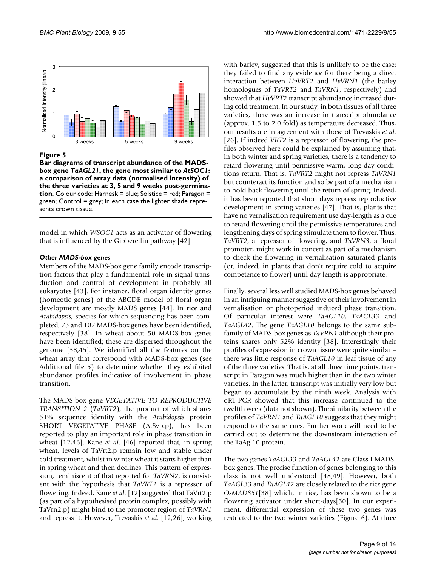

#### **Figure 5**

**Bar diagrams of transcript abundance of the MADSbox gene** *TaAGL21***, the gene most similar to** *AtSOC1***: a comparison of array data (normalised intensity) of the three varieties at 3, 5 and 9 weeks post-germination**. Colour code: Harnesk = blue; Solstice = red; Paragon = green; Control = grey; in each case the lighter shade represents crown tissue.

model in which *WSOC1* acts as an activator of flowering that is influenced by the Gibberellin pathway [42].

#### *Other MADS-box genes*

Members of the MADS-box gene family encode transcription factors that play a fundamental role in signal transduction and control of development in probably all eukaryotes [43]. For instance, floral organ identity genes (homeotic genes) of the ABCDE model of floral organ development are mostly MADS genes [44]. In rice and *Arabidopsis*, species for which sequencing has been completed, 73 and 107 MADS-box genes have been identified, respectively [38]. In wheat about 50 MADS-box genes have been identified; these are dispersed throughout the genome [38,45]. We identified all the features on the wheat array that correspond with MADS-box genes (see Additional file 5) to determine whether they exhibited abundance profiles indicative of involvement in phase transition.

The MADS-box gene *VEGETATIVE TO REPRODUCTIVE TRANSITION 2* (*TaVRT2*), the product of which shares 51% sequence identity with the *Arabidopsis* protein SHORT VEGETATIVE PHASE (AtSvp.p), has been reported to play an important role in phase transition in wheat [12,46]. Kane *et al*. [46] reported that, in spring wheat, levels of TaVrt2.p remain low and stable under cold treatment, whilst in winter wheat it starts higher than in spring wheat and then declines. This pattern of expression, reminiscent of that reported for *TaVRN2*, is consistent with the hypothesis that *TaVRT2* is a repressor of flowering. Indeed, Kane *et al*. [12] suggested that TaVrt2.p (as part of a hypothesised protein complex, possibly with TaVrn2.p) might bind to the promoter region of *TaVRN1* and repress it. However, Trevaskis *et al*. [12,26], working with barley, suggested that this is unlikely to be the case: they failed to find any evidence for there being a direct interaction between *HvVRT2* and *HvVRN1* (the barley homologues of *TaVRT2* and *TaVRN1*, respectively) and showed that *HvVRT2* transcript abundance increased during cold treatment. In our study, in both tissues of all three varieties, there was an increase in transcript abundance (approx. 1.5 to 2.0 fold) as temperature decreased. Thus, our results are in agreement with those of Trevaskis *et al*. [26]. If indeed *VRT2* is a repressor of flowering, the profiles observed here could be explained by assuming that, in both winter and spring varieties, there is a tendency to retard flowering until permissive warm, long-day conditions return. That is, *TaVRT2* might not repress *TaVRN1* but counteract its function and so be part of a mechanism to hold back flowering until the return of spring. Indeed, it has been reported that short days repress reproductive development in spring varieties [\[47\]](#page-13-2). That is, plants that have no vernalisation requirement use day-length as a cue to retard flowering until the permissive temperatures and lengthening days of spring stimulate them to flower. Thus, *TaVRT2*, a repressor of flowering, and *TaVRN3*, a floral promoter, might work in concert as part of a mechanism to check the flowering in vernalisation saturated plants (or, indeed, in plants that don't require cold to acquire competence to flower) until day-length is appropriate.

Finally, several less well studied MADS-box genes behaved in an intriguing manner suggestive of their involvement in vernalisation or photoperiod induced phase transition. Of particular interest were *TaAGL10*, *TaAGL33* and *TaAGL42*. The gene *TaAGL10* belongs to the same subfamily of MADS-box genes as *TaVRN1* although their proteins shares only 52% identity [38]. Interestingly their profiles of expression in crown tissue were quite similar – there was little response of *TaAGL10* in leaf tissue of any of the three varieties. That is, at all three time points, transcript in Paragon was much higher than in the two winter varieties. In the latter, transcript was initially very low but began to accumulate by the ninth week. Analysis with qRT-PCR showed that this increase continued to the twelfth week (data not shown). The similarity between the profiles of *TaVRN1* and *TaAGL10* suggests that they might respond to the same cues. Further work will need to be carried out to determine the downstream interaction of the TaAgl10 protein.

The two genes *TaAGL33* and *TaAGL42* are Class I MADSbox genes. The precise function of genes belonging to this class is not well understood [48,49]. However, both *TaAGL33* and *TaAGL42* are closely related to the rice gene *OsMADS51*[38] which, in rice, has been shown to be a flowering activator under short-days[50]. In our experiment, differential expression of these two genes was restricted to the two winter varieties (Figure 6). At three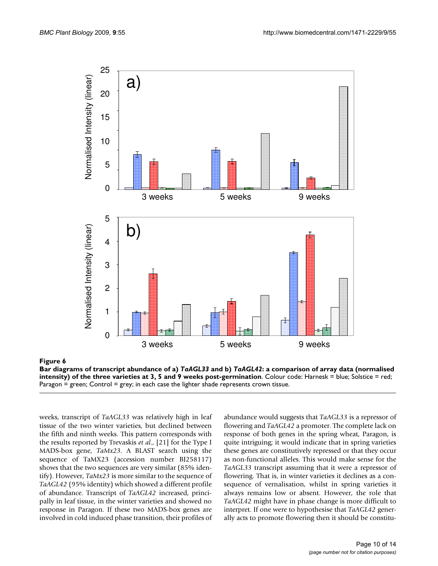

**Bar diagrams of transcript abundance of a)** *TaAGL33* **and b)** *TaAGL42***: a comparison of array data (normalised intensity) of the three varieties at 3, 5 and 9 weeks post-germination**. Colour code: Harnesk = blue; Solstice = red; Paragon = green; Control = grey; in each case the lighter shade represents crown tissue.

weeks, transcript of *TaAGL33* was relatively high in leaf tissue of the two winter varieties, but declined between the fifth and ninth weeks. This pattern corresponds with the results reported by Trevaskis *et al*., [21] for the Type I MADS-box gene, *TaMx23*. A BLAST search using the sequence of TaMX23 (accession number BJ258117) shows that the two sequences are very similar (85% identify). However, *TaMx23* is more similar to the sequence of *TaAGL42* (95% identity) which showed a different profile of abundance. Transcript of *TaAGL42* increased, principally in leaf tissue, in the winter varieties and showed no response in Paragon. If these two MADS-box genes are involved in cold induced phase transition, their profiles of abundance would suggests that *TaAGL33* is a repressor of flowering and *TaAGL42* a promoter. The complete lack on response of both genes in the spring wheat, Paragon, is quite intriguing; it would indicate that in spring varieties these genes are constitutively repressed or that they occur as non-functional alleles. This would make sense for the *TaAGL33* transcript assuming that it were a repressor of flowering. That is, in winter varieties it declines as a consequence of vernalisation, whilst in spring varieties it always remains low or absent. However, the role that *TaAGL42* might have in phase change is more difficult to interpret. If one were to hypothesise that *TaAGL42* generally acts to promote flowering then it should be constitu-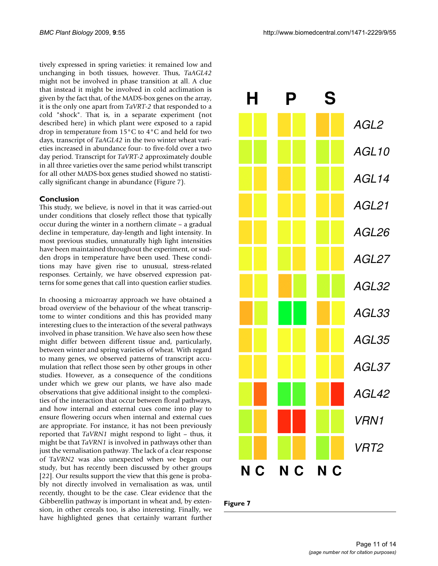tively expressed in spring varieties: it remained low and unchanging in both tissues, however. Thus, *TaAGL42* might not be involved in phase transition at all. A clue that instead it might be involved in cold acclimation is given by the fact that, of the MADS-box genes on the array, it is the only one apart from *TaVRT-2* that responded to a cold "shock". That is, in a separate experiment (not described here) in which plant were exposed to a rapid drop in temperature from 15°C to 4°C and held for two days, transcript of *TaAGL42* in the two winter wheat varieties increased in abundance four- to five-fold over a two day period. Transcript for *TaVRT-2* approximately double in all three varieties over the same period whilst transcript for all other MADS-box genes studied showed no statistically significant change in abundance (Figure 7).

#### **Conclusion**

This study, we believe, is novel in that it was carried-out under conditions that closely reflect those that typically occur during the winter in a northern climate – a gradual decline in temperature, day-length and light intensity. In most previous studies, unnaturally high light intensities have been maintained throughout the experiment, or sudden drops in temperature have been used. These conditions may have given rise to unusual, stress-related responses. Certainly, we have observed expression patterns for some genes that call into question earlier studies.

In choosing a microarray approach we have obtained a broad overview of the behaviour of the wheat transcriptome to winter conditions and this has provided many interesting clues to the interaction of the several pathways involved in phase transition. We have also seen how these might differ between different tissue and, particularly, between winter and spring varieties of wheat. With regard to many genes, we observed patterns of transcript accumulation that reflect those seen by other groups in other studies. However, as a consequence of the conditions under which we grew our plants, we have also made observations that give additional insight to the complexities of the interaction that occur between floral pathways, and how internal and external cues come into play to ensure flowering occurs when internal and external cues are appropriate. For instance, it has not been previously reported that *TaVRN1* might respond to light – thus, it might be that *TaVRN1* is involved in pathways other than just the vernalisation pathway. The lack of a clear response of Ta*VRN2* was also unexpected when we began our study, but has recently been discussed by other groups [22]. Our results support the view that this gene is probably not directly involved in vernalisation as was, until recently, thought to be the case. Clear evidence that the Gibberellin pathway is important in wheat and, by extension, in other cereals too, is also interesting. Finally, we have highlighted genes that certainly warrant further



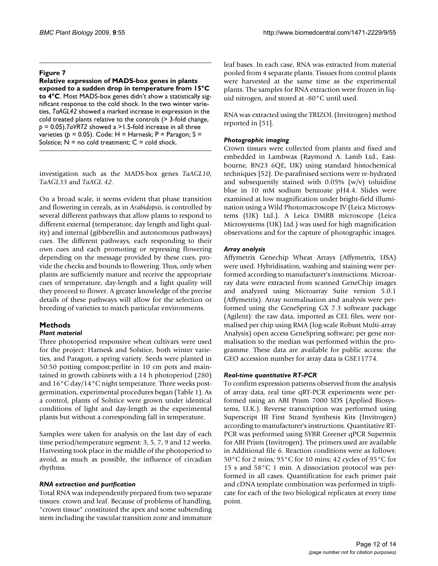#### **Figure 7**

**Relative expression of MADS-box genes in plants exposed to a sudden drop in temperature from 15°C to 4°C**. Most MADS-box genes didn't show a statistically significant response to the cold shock. In the two winter varieties, *TaAGL42* showed a marked increase in expression in the cold treated plants relative to the controls (> 3-fold change, *p* = 0.05).*TaVRT2* showed a >1.5-fold increase in all three varieties (*p* = 0.05). Code: H = Harnesk; P = Paragon; S = Solstice;  $N =$  no cold treatment;  $C =$  cold shock.

investigation such as the MADS-box genes *TaAGL10*, *TaAGL33* and *TaAGL 42*.

On a broad scale, it seems evident that phase transition and flowering in cereals, as in *Arabidopsis*, is controlled by several different pathways that allow plants to respond to different external (temperature, day length and light quality) and internal (gibberellin and autonomous pathways) cues. The different pathways, each responding to their own cues and each promoting or repressing flowering depending on the message provided by these cues, provide the checks and bounds to flowering. Thus, only when plants are sufficiently mature and receive the appropriate cues of temperature, day-length and a light quality will they proceed to flower. A greater knowledge of the precise details of these pathways will allow for the selection or breeding of varieties to match particular environments.

### **Methods**

#### *Plant material*

Three photoperiod responsive wheat cultivars were used for the project: Harnesk and Solstice, both winter varieties, and Paragon, a spring variety. Seeds were planted in 50:50 potting compost:perlite in 10 cm pots and maintained in growth cabinets with a 14 h photoperiod (280) and 16°C day/14°C night temperature. Three weeks postgermination, experimental procedures began (Table 1). As a control, plants of Solstice were grown under identical conditions of light and day-length as the experimental plants but without a corresponding fall in temperature.

Samples were taken for analysis on the last day of each time period/temperature segment: 3, 5, 7, 9 and 12 weeks. Harvesting took place in the middle of the photoperiod to avoid, as much as possible, the influence of circadian rhythms.

#### *RNA extraction and purification*

Total RNA was independently prepared from two separate tissues: crown and leaf. Because of problems of handling, "crown tissue" constituted the apex and some subtending stem including the vascular transition zone and immature leaf bases. In each case, RNA was extracted from material pooled from 4 separate plants. Tissues from control plants were harvested at the same time as the experimental plants. The samples for RNA extraction were frozen in liquid nitrogen, and stored at -80°C until used.

RNA was extracted using the TRIZOL (Invitrogen) method reported in [51].

#### *Photographic imaging*

Crown tissues were collected from plants and fixed and embedded in Lambwax (Raymond A. Lamb Ltd., Eastbourne, BN23 6QE, UK) using standard histochemical techniques [52]. De-parafinised sections were re-hydrated and subsequently stained with  $0.05\%$  (w/v) toluidine blue in 10 mM sodium benzoate pH4.4. Slides were examined at low magnification under bright-field illumination using a Wild Photomacroscope IV (Leica Microsystems (UK) Ltd.). A Leica DMRB microscope (Leica Microsystems (UK) Ltd.) was used for high magnification observations and for the capture of photographic images.

#### *Array analysis*

Affymetrix Genechip Wheat Arrays (Affymetrix, USA) were used. Hybridisation, washing and staining were performed according to manufacturer's instructions. Microarray data were extracted from scanned GeneChip images and analyzed using Microarray Suite version 5.0.1 (Affymetrix). Array normalisation and analysis were performed using the GeneSpring GX 7.3 software package (Agilent): the raw data, imported as CEL files, were normalised per chip using RMA (log-scale Robust Multi-array Analysis) open access GeneSpring software; per gene normalisation to the median was performed within the programme. These data are available for public access: the GEO accession number for array data is GSE11774.

#### *Real-time quantitative RT-PCR*

To confirm expression patterns observed from the analysis of array data, real time qRT-PCR experiments were performed using an ABI Prism 7000 SDS (Applied Biosystems, U.K.). Reverse transcription was performed using Superscript III First Strand Synthesis Kits (Invitrogen) according to manufacturer's instructions. Quantitative RT-PCR was performed using SYBR Greener qPCR Supermix for ABI Prism (Invitrogen). The primers used are available in Additional file 6. Reaction conditions were as follows: 50°C for 2 mins; 95°C for 10 mins; 42 cycles of 95°C for 15 s and 58°C 1 min. A dissociation protocol was performed in all cases. Quantification for each primer pair and cDNA template combination was performed in triplicate for each of the two biological replicates at every time point.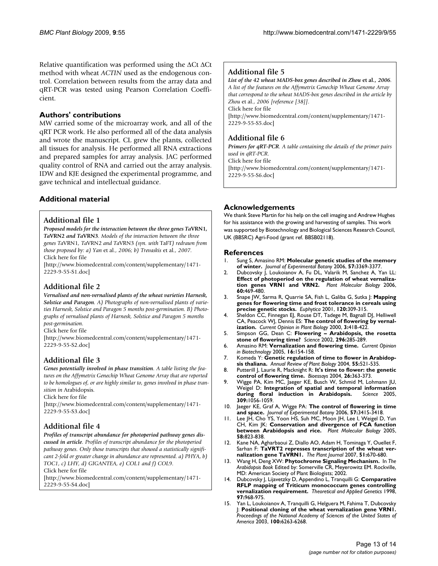Relative quantification was performed using the ΔCt ΔCt method with wheat *ACTIN* used as the endogenous control. Correlation between results from the array data and qRT-PCR was tested using Pearson Correlation Coefficient.

#### **Authors' contributions**

MW carried some of the microarray work, and all of the qRT PCR work. He also performed all of the data analysis and wrote the manuscript. CL grew the plants, collected all tissues for analysis. He performed all RNA extractions and prepared samples for array analysis. JAC performed quality control of RNA and carried out the array analysis. IDW and KJE designed the experimental programme, and gave technical and intellectual guidance.

#### **Additional material**

#### **Additional file 1**

*Proposed models for the interaction between the three genes Ta***VRN1***, Ta***VRN2** *and Ta***VRN3***. Models of the interaction between the three genes Ta*VRN1*, Ta*VRN2 *and Ta*VRN3 *(syn. with* TaFT*) redrawn from those proposed by: a) Yan* et al*., 2006; b) Trevaskis* et al*., 2007.* Click here for file

[\[http://www.biomedcentral.com/content/supplementary/1471-](http://www.biomedcentral.com/content/supplementary/1471-2229-9-55-S1.doc) 2229-9-55-S1.doc]

## **Additional file 2**

*Vernalised and non-vernalised plants of the wheat varieties Harnesk, Solstice and Paragon. A) Photographs of non-vernalised plants of varieties Harnesk, Solstice and Paragon 5 months post-germination. B) Photographs of vernalised plants of Harnesk, Solstice and Paragon 5 months post-germination.*

Click here for file

[\[http://www.biomedcentral.com/content/supplementary/1471-](http://www.biomedcentral.com/content/supplementary/1471-2229-9-55-S2.doc) 2229-9-55-S2.doc]

# **Additional file 3**

*Genes potentially involved in phase transition. A table listing the features on the Affymetrix Genechip Wheat Genome Array that are reported to be homologues of, or are highly similar to, genes involved in phase transition in* Arabidopsis*.*

Click here for file

[\[http://www.biomedcentral.com/content/supplementary/1471-](http://www.biomedcentral.com/content/supplementary/1471-2229-9-55-S3.doc) 2229-9-55-S3.doc]

### **Additional file 4**

*Profiles of transcript abundance for photoperiod pathway genes discussed in article. Profiles of transcript abundance for the photoperiod pathway genes. Only those transcripts that showed a statistically significant 2-fold or greater change in abundance are represented. a) PHYA, b) TOC1, c) LHY, d) GIGANTEA, e) COL1 and f) COL9.* Click here for file

[\[http://www.biomedcentral.com/content/supplementary/1471-](http://www.biomedcentral.com/content/supplementary/1471-2229-9-55-S4.doc) 2229-9-55-S4.doc]

#### **Additional file 5**

List of the 42 wheat MADS-box genes described in Zhou et al., 2006. *A list of the features on the Affymetrix Genechip Wheat Genome Array that correspond to the wheat MADS-box genes described in the article by Zhou* et al*., 2006 [reference [38]].* Click here for file [\[http://www.biomedcentral.com/content/supplementary/1471-](http://www.biomedcentral.com/content/supplementary/1471-2229-9-55-S5.doc) 2229-9-55-S5.doc]

#### **Additional file 6**

*Primers for qRT-PCR. A table containing the details of the primer pairs used in qRT-PCR.* Click here for file [\[http://www.biomedcentral.com/content/supplementary/1471-](http://www.biomedcentral.com/content/supplementary/1471-2229-9-55-S6.doc) 2229-9-55-S6.doc]

### **Acknowledgements**

We thank Steve Martin for his help on the cell imaging and Andrew Hughes for his assistance with the growing and harvesting of samples. This work was supported by Biotechnology and Biological Sciences Research Council, UK (BBSRC) Agri-Food (grant ref. BBSB02118).

#### **References**

- 1. Sung S, Amasino RM: **[Molecular genetic studies of the memory](http://www.ncbi.nlm.nih.gov/entrez/query.fcgi?cmd=Retrieve&db=PubMed&dopt=Abstract&list_uids=16980591) [of winter.](http://www.ncbi.nlm.nih.gov/entrez/query.fcgi?cmd=Retrieve&db=PubMed&dopt=Abstract&list_uids=16980591)** *Journal of Experimental Botany* 2006, **57:**3369-3377.
- 2. Dubcovsky J, Loukoianov A, Fu DL, Valarik M, Sanchez A, Yan LL: **[Effect of photoperiod on the regulation of wheat vernaliza](http://www.ncbi.nlm.nih.gov/entrez/query.fcgi?cmd=Retrieve&db=PubMed&dopt=Abstract&list_uids=16525885)[tion genes VRN1 and VRN2.](http://www.ncbi.nlm.nih.gov/entrez/query.fcgi?cmd=Retrieve&db=PubMed&dopt=Abstract&list_uids=16525885)** *Plant Molecular Biology* 2006, **60:**469-480.
- 3. Snape JW, Sarma R, Quarrie SA, Fish L, Galiba G, Sutka J: **Mapping genes for flowering time and frost tolerance in cereals using precise genetic stocks.** *Euphytica* 2001, **120:**309-315.
- 4. Sheldon CC, Finnegan EJ, Rouse DT, Tadege M, Bagnall DJ, Helliwell CA, Peacock WJ, Dennis ES: **[The control of flowering by vernal](http://www.ncbi.nlm.nih.gov/entrez/query.fcgi?cmd=Retrieve&db=PubMed&dopt=Abstract&list_uids=11019811)[ization.](http://www.ncbi.nlm.nih.gov/entrez/query.fcgi?cmd=Retrieve&db=PubMed&dopt=Abstract&list_uids=11019811)** *Current Opinion in Plant Biology* 2000, **3:**418-422.
- 5. Simpson GG, Dean C: **[Flowering Arabidopsis, the rosetta](http://www.ncbi.nlm.nih.gov/entrez/query.fcgi?cmd=Retrieve&db=PubMed&dopt=Abstract&list_uids=11951029) [stone of flowering time?](http://www.ncbi.nlm.nih.gov/entrez/query.fcgi?cmd=Retrieve&db=PubMed&dopt=Abstract&list_uids=11951029)** *Science* 2002, **296:**285-289.
- 6. Amasino RM: **[Vernalization and flowering time.](http://www.ncbi.nlm.nih.gov/entrez/query.fcgi?cmd=Retrieve&db=PubMed&dopt=Abstract&list_uids=15831380)** *Current Opinion in Biotechnology* 2005, **16:**154-158.
- 7. Komeda Y: **[Genetic regulation of time to flower in Arabidop](http://www.ncbi.nlm.nih.gov/entrez/query.fcgi?cmd=Retrieve&db=PubMed&dopt=Abstract&list_uids=15377230)[sis thaliana.](http://www.ncbi.nlm.nih.gov/entrez/query.fcgi?cmd=Retrieve&db=PubMed&dopt=Abstract&list_uids=15377230)** *Annual Review of Plant Biology* 2004, **55:**521-535.
- 8. Putterill J, Laurie R, Macknight R: **[It's time to flower: the genetic](http://www.ncbi.nlm.nih.gov/entrez/query.fcgi?cmd=Retrieve&db=PubMed&dopt=Abstract&list_uids=15057934) [control of flowering time.](http://www.ncbi.nlm.nih.gov/entrez/query.fcgi?cmd=Retrieve&db=PubMed&dopt=Abstract&list_uids=15057934)** *Bioessays* 2004, **26:**363-373.
- 9. Wigge PA, Kim MC, Jaeger KE, Busch W, Schmid M, Lohmann JU, Weigel D: **[Integration of spatial and temporal information](http://www.ncbi.nlm.nih.gov/entrez/query.fcgi?cmd=Retrieve&db=PubMed&dopt=Abstract&list_uids=16099980)** [during floral induction in Arabidopsis.](http://www.ncbi.nlm.nih.gov/entrez/query.fcgi?cmd=Retrieve&db=PubMed&dopt=Abstract&list_uids=16099980) **309:**1056-1059.
- 10. Jaeger KE, Graf A, Wigge PA: **[The control of flowering in time](http://www.ncbi.nlm.nih.gov/entrez/query.fcgi?cmd=Retrieve&db=PubMed&dopt=Abstract&list_uids=17005922) [and space.](http://www.ncbi.nlm.nih.gov/entrez/query.fcgi?cmd=Retrieve&db=PubMed&dopt=Abstract&list_uids=17005922)** *Journal of Experimental Botany* 2006, **57:**3415-3418.
- 11. Lee JH, Cho YS, Yoon HS, Suh MC, Moon JH, Lee I, Weigel D, Yun CH, Kim JK: **[Conservation and divergence of FCA function](http://www.ncbi.nlm.nih.gov/entrez/query.fcgi?cmd=Retrieve&db=PubMed&dopt=Abstract&list_uids=16240176) [between Arabidopsis and rice.](http://www.ncbi.nlm.nih.gov/entrez/query.fcgi?cmd=Retrieve&db=PubMed&dopt=Abstract&list_uids=16240176)** *Plant Molecular Biology* 2005, **58:**823-838.
- 12. Kane NA, Agharbaoui Z, Diallo AO, Adam H, Tominaga Y, Ouellet F, Sarhan F: **[TaVRT2 represses transcription of the wheat ver](http://www.ncbi.nlm.nih.gov/entrez/query.fcgi?cmd=Retrieve&db=PubMed&dopt=Abstract&list_uids=17587304)[nalization gene TaVRN1.](http://www.ncbi.nlm.nih.gov/entrez/query.fcgi?cmd=Retrieve&db=PubMed&dopt=Abstract&list_uids=17587304)** *The Plant Journal* 2007, **51:**670-680.
- 13. Wang H, Deng XW: **Phytochrome Signaling Mechanism.** In *The Arabidopsis Book* Edited by: Somerville CR, Meyerowitz EM. Rockville, MD: American Society of Plant Biologists; 2002.
- 14. Dubcovsky J, Lijavetzky D, Appendino L, Tranquilli G: **Comparative RFLP mapping of Triticum monococcum genes controlling vernalization requirement.** *Theoretical and Applied Genetics* 1998, **97:**968-975.
- 15. Yan L, Loukoianov A, Tranquilli G, Helguera M, Fahima T, Dubcovsky J: **[Positional cloning of the wheat vernalization gene VRN1.](http://www.ncbi.nlm.nih.gov/entrez/query.fcgi?cmd=Retrieve&db=PubMed&dopt=Abstract&list_uids=12730378)** *Proceedings of the National Academy of Sciences of the United States of America* 2003, **100:**6263-6268.